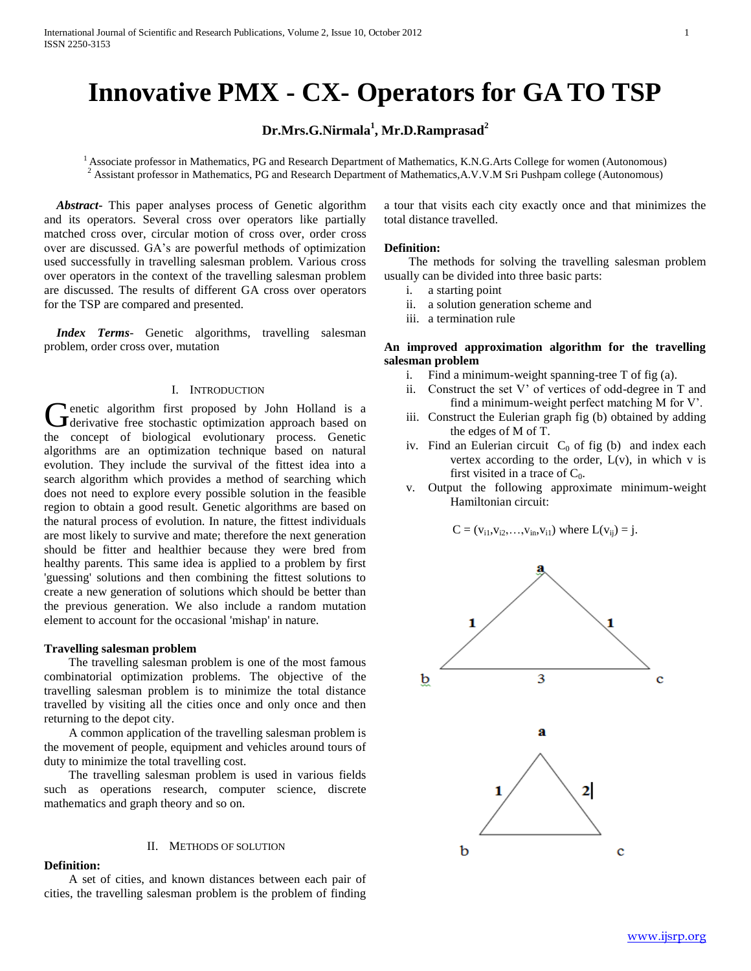# **Innovative PMX - CX- Operators for GA TO TSP**

# **Dr.Mrs.G.Nirmala<sup>1</sup> , Mr.D.Ramprasad<sup>2</sup>**

<sup>1</sup> Associate professor in Mathematics, PG and Research Department of Mathematics, K.N.G.Arts College for women (Autonomous) <sup>2</sup> Assistant professor in Mathematics, PG and Research Department of Mathematics,A.V.V.M Sri Pushpam college (Autonomous)

 *Abstract***-** This paper analyses process of Genetic algorithm and its operators. Several cross over operators like partially matched cross over, circular motion of cross over, order cross over are discussed. GA's are powerful methods of optimization used successfully in travelling salesman problem. Various cross over operators in the context of the travelling salesman problem are discussed. The results of different GA cross over operators for the TSP are compared and presented.

 *Index Terms*- Genetic algorithms, travelling salesman problem, order cross over, mutation

#### I. INTRODUCTION

enetic algorithm first proposed by John Holland is a Genetic algorithm first proposed by John Holland is a derivative free stochastic optimization approach based on the concept of biological evolutionary process. Genetic algorithms are an optimization technique based on natural evolution. They include the survival of the fittest idea into a search algorithm which provides a method of searching which does not need to explore every possible solution in the feasible region to obtain a good result. Genetic algorithms are based on the natural process of evolution. In nature, the fittest individuals are most likely to survive and mate; therefore the next generation should be fitter and healthier because they were bred from healthy parents. This same idea is applied to a problem by first 'guessing' solutions and then combining the fittest solutions to create a new generation of solutions which should be better than the previous generation. We also include a random mutation element to account for the occasional 'mishap' in nature.

#### **Travelling salesman problem**

 The travelling salesman problem is one of the most famous combinatorial optimization problems. The objective of the travelling salesman problem is to minimize the total distance travelled by visiting all the cities once and only once and then returning to the depot city.

 A common application of the travelling salesman problem is the movement of people, equipment and vehicles around tours of duty to minimize the total travelling cost.

 The travelling salesman problem is used in various fields such as operations research, computer science, discrete mathematics and graph theory and so on.

#### II. METHODS OF SOLUTION

#### **Definition:**

 A set of cities, and known distances between each pair of cities, the travelling salesman problem is the problem of finding a tour that visits each city exactly once and that minimizes the total distance travelled.

#### **Definition:**

 The methods for solving the travelling salesman problem usually can be divided into three basic parts:

- i. a starting point
- ii. a solution generation scheme and
- iii. a termination rule

# **An improved approximation algorithm for the travelling salesman problem**

- i. Find a minimum-weight spanning-tree T of fig (a).
- ii. Construct the set V' of vertices of odd-degree in T and find a minimum-weight perfect matching M for V'.
- iii. Construct the Eulerian graph fig (b) obtained by adding the edges of M of T.
- iv. Find an Eulerian circuit  $C_0$  of fig (b) and index each vertex according to the order,  $L(v)$ , in which v is first visited in a trace of  $C_0$ .
- v. Output the following approximate minimum-weight Hamiltonian circuit:

 $C = (v_{i1}, v_{i2}, \ldots, v_{in}, v_{i1})$  where  $L(v_{ij}) = j$ .

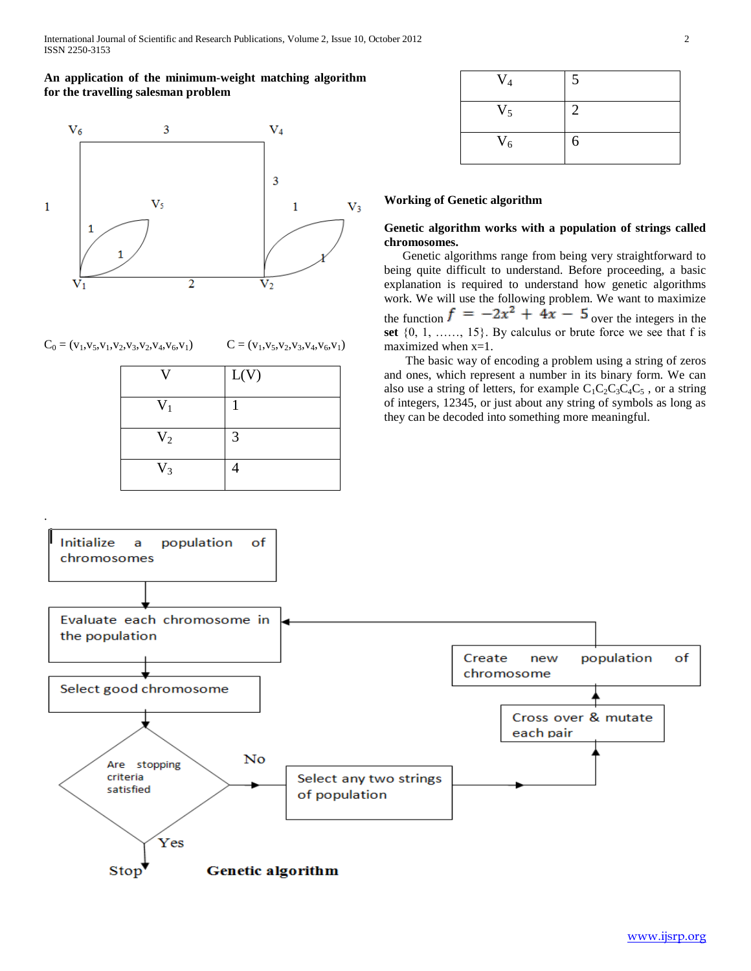# **An application of the minimum-weight matching algorithm for the travelling salesman problem**



# $C_0 = (v_1, v_5, v_1, v_2, v_3, v_2, v_4, v_6, v_1)$   $C = (v_1, v_5, v_2, v_3, v_4, v_6, v_1)$

| 17             | L(V) |
|----------------|------|
| $V_1$          |      |
| V <sub>2</sub> | 3    |
| $V_3$          |      |

| $V_4$ | 5 |
|-------|---|
| $V_5$ | 2 |
| $V_6$ | 6 |

## **Working of Genetic algorithm**

# **Genetic algorithm works with a population of strings called chromosomes.**

Genetic algorithms range from being very straightforward to being quite difficult to understand. Before proceeding, a basic explanation is required to understand how genetic algorithms work. We will use the following problem. We want to maximize the function  $f = -2x^2 + 4x - 5$  over the integers in the **set** {0, 1, ……, 15}. By calculus or brute force we see that f is maximized when  $x=1$ .

 The basic way of encoding a problem using a string of zeros and ones, which represent a number in its binary form. We can also use a string of letters, for example  $C_1C_2C_3C_4C_5$ , or a string of integers, 12345, or just about any string of symbols as long as they can be decoded into something more meaningful.

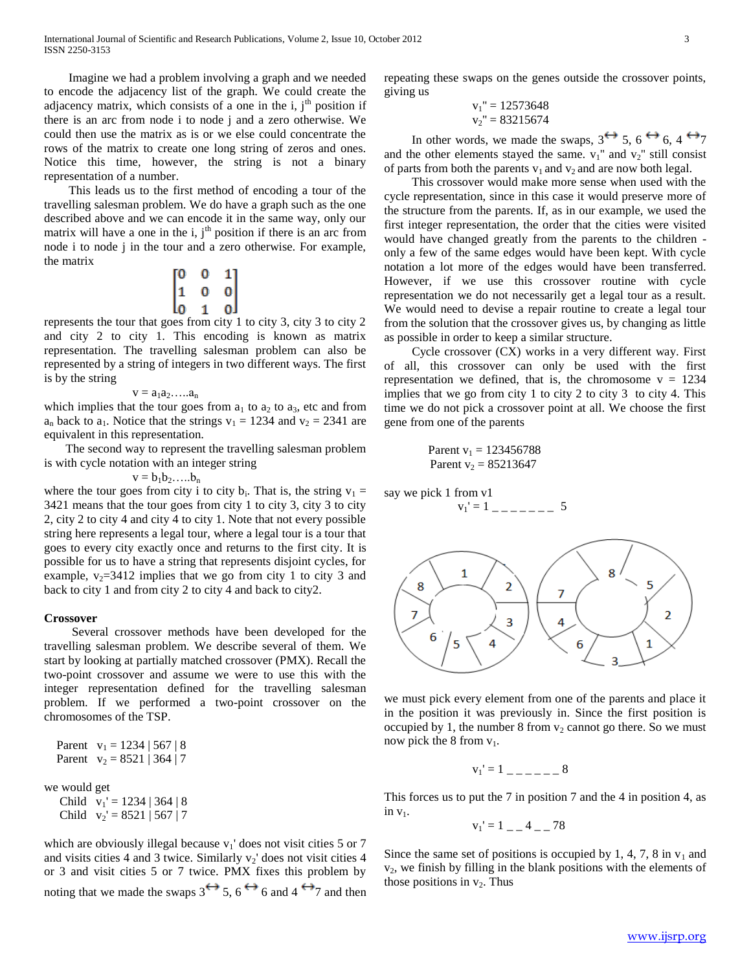Imagine we had a problem involving a graph and we needed to encode the adjacency list of the graph. We could create the adjacency matrix, which consists of a one in the i,  $j<sup>th</sup>$  position if there is an arc from node i to node j and a zero otherwise. We could then use the matrix as is or we else could concentrate the rows of the matrix to create one long string of zeros and ones. Notice this time, however, the string is not a binary representation of a number.

 This leads us to the first method of encoding a tour of the travelling salesman problem. We do have a graph such as the one described above and we can encode it in the same way, only our matrix will have a one in the i,  $j<sup>th</sup>$  position if there is an arc from node i to node j in the tour and a zero otherwise. For example, the matrix

$$
\begin{bmatrix} 0 & 0 & 1 \\ 1 & 0 & 0 \\ 0 & 1 & 0 \end{bmatrix}
$$

represents the tour that goes from city 1 to city 3, city 3 to city 2 and city 2 to city 1. This encoding is known as matrix representation. The travelling salesman problem can also be represented by a string of integers in two different ways. The first is by the string

$$
v = a_1 a_2 \dots a_n
$$

which implies that the tour goes from  $a_1$  to  $a_2$  to  $a_3$ , etc and from  $a_n$  back to  $a_1$ . Notice that the strings  $v_1 = 1234$  and  $v_2 = 2341$  are equivalent in this representation.

 The second way to represent the travelling salesman problem is with cycle notation with an integer string

$$
v=b_1b_2.....b_n
$$

where the tour goes from city i to city  $b_i$ . That is, the string  $v_1 =$ 3421 means that the tour goes from city 1 to city 3, city 3 to city 2, city 2 to city 4 and city 4 to city 1. Note that not every possible string here represents a legal tour, where a legal tour is a tour that goes to every city exactly once and returns to the first city. It is possible for us to have a string that represents disjoint cycles, for example,  $v_2$ =3412 implies that we go from city 1 to city 3 and back to city 1 and from city 2 to city 4 and back to city2.

#### **Crossover**

 Several crossover methods have been developed for the travelling salesman problem. We describe several of them. We start by looking at partially matched crossover (PMX). Recall the two-point crossover and assume we were to use this with the integer representation defined for the travelling salesman problem. If we performed a two-point crossover on the chromosomes of the TSP.

```
Parent v_1 = 1234 | 567 | 8Parent v_2 = 8521 | 364 | 7we would get
  Child v_1' = 1234 | 364 | 8Child v_2' = 8521 | 567 | 7
```
which are obviously illegal because  $v_1$ ' does not visit cities 5 or 7 and visits cities 4 and 3 twice. Similarly  $v_2$ ' does not visit cities 4 or 3 and visit cities 5 or 7 twice. PMX fixes this problem by noting that we made the swaps  $3 \leftrightarrow 5$ ,  $6 \leftrightarrow 6$  and  $4 \leftrightarrow 7$  and then repeating these swaps on the genes outside the crossover points, giving us  $10572648$ 

$$
v_1'' = 12573648
$$
  

$$
v_2'' = 83215674
$$

In other words, we made the swaps,  $3 \leftrightarrow 5$ ,  $6 \leftrightarrow 6$ ,  $4 \leftrightarrow 7$ and the other elements stayed the same.  $v_1$ " and  $v_2$ " still consist of parts from both the parents  $v_1$  and  $v_2$  and are now both legal.

 This crossover would make more sense when used with the cycle representation, since in this case it would preserve more of the structure from the parents. If, as in our example, we used the first integer representation, the order that the cities were visited would have changed greatly from the parents to the children only a few of the same edges would have been kept. With cycle notation a lot more of the edges would have been transferred. However, if we use this crossover routine with cycle representation we do not necessarily get a legal tour as a result. We would need to devise a repair routine to create a legal tour from the solution that the crossover gives us, by changing as little as possible in order to keep a similar structure.

 Cycle crossover (CX) works in a very different way. First of all, this crossover can only be used with the first representation we defined, that is, the chromosome  $v = 1234$ implies that we go from city 1 to city 2 to city 3 to city 4. This time we do not pick a crossover point at all. We choose the first gene from one of the parents

Parent 
$$
v_1 = 123456788
$$
  
Parent  $v_2 = 85213647$ 

say we pick 1 from v1 v1' = 1 \_ \_ \_ \_ \_ \_ \_ 5



we must pick every element from one of the parents and place it in the position it was previously in. Since the first position is occupied by 1, the number 8 from  $v_2$  cannot go there. So we must now pick the 8 from  $v_1$ .

$$
v_1' = 1 \quad \underline{\qquad} \quad - \quad \underline{\qquad} \quad 8
$$

This forces us to put the 7 in position 7 and the 4 in position 4, as in  $v_1$ .

$$
v_1' = 1 \_ -4 \_ -78
$$

Since the same set of positions is occupied by 1, 4, 7, 8 in  $v_1$  and  $v<sub>2</sub>$ , we finish by filling in the blank positions with the elements of those positions in  $v_2$ . Thus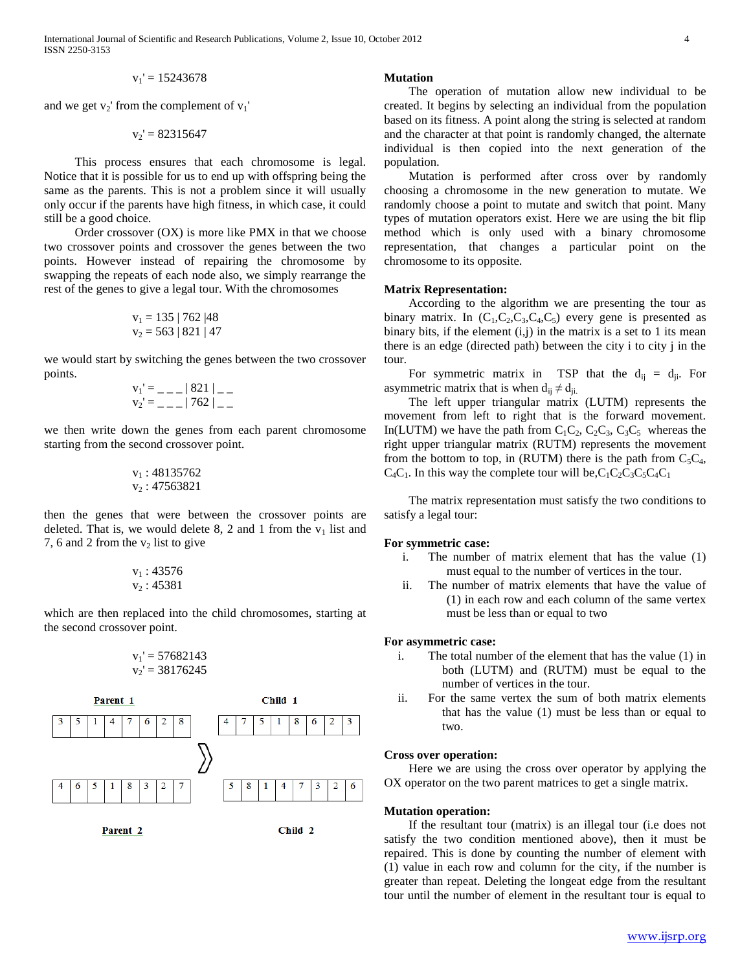International Journal of Scientific and Research Publications, Volume 2, Issue 10, October 2012 4 ISSN 2250-3153

$$
v_1' = 15243678
$$

and we get  $v_2$ ' from the complement of  $v_1$ '

$$
v_2\prime=82315647
$$

 This process ensures that each chromosome is legal. Notice that it is possible for us to end up with offspring being the same as the parents. This is not a problem since it will usually only occur if the parents have high fitness, in which case, it could still be a good choice.

 Order crossover (OX) is more like PMX in that we choose two crossover points and crossover the genes between the two points. However instead of repairing the chromosome by swapping the repeats of each node also, we simply rearrange the rest of the genes to give a legal tour. With the chromosomes

$$
v_1 = 135 | 762 | 48
$$
  

$$
v_2 = 563 | 821 | 47
$$

we would start by switching the genes between the two crossover points.

$$
v_1' = \_ - \_ |821| \_ -
$$
  

$$
v_2' = \_ - \_ |762| \_ -
$$

we then write down the genes from each parent chromosome starting from the second crossover point.

$$
\begin{array}{c} v_1:48135762 \\ v_2:47563821 \end{array}
$$

then the genes that were between the crossover points are deleted. That is, we would delete 8, 2 and 1 from the  $v_1$  list and 7, 6 and 2 from the  $v_2$  list to give

$$
\begin{array}{c} v_1:43576 \\ v_2:45381 \end{array}
$$

which are then replaced into the child chromosomes, starting at the second crossover point.

$$
v_1' = 57682143
$$
  

$$
v_2' = 38176245
$$



Parent<sub>2</sub>

Child 2

#### **Mutation**

The operation of mutation allow new individual to be created. It begins by selecting an individual from the population based on its fitness. A point along the string is selected at random and the character at that point is randomly changed, the alternate individual is then copied into the next generation of the population.

Mutation is performed after cross over by randomly choosing a chromosome in the new generation to mutate. We randomly choose a point to mutate and switch that point. Many types of mutation operators exist. Here we are using the bit flip method which is only used with a binary chromosome representation, that changes a particular point on the chromosome to its opposite.

## **Matrix Representation:**

According to the algorithm we are presenting the tour as binary matrix. In  $(C_1, C_2, C_3, C_4, C_5)$  every gene is presented as binary bits, if the element  $(i,j)$  in the matrix is a set to 1 its mean there is an edge (directed path) between the city i to city j in the tour.

For symmetric matrix in TSP that the  $d_{ij} = d_{ji}$ . For asymmetric matrix that is when  $d_{ij} \neq d_{ji}$ .

The left upper triangular matrix (LUTM) represents the movement from left to right that is the forward movement. In(LUTM) we have the path from  $C_1C_2$ ,  $C_2C_3$ ,  $C_3C_5$  whereas the right upper triangular matrix (RUTM) represents the movement from the bottom to top, in (RUTM) there is the path from  $C_5C_4$ ,  $C_4C_1$ . In this way the complete tour will be,  $C_1C_2C_3C_5C_4C_1$ 

The matrix representation must satisfy the two conditions to satisfy a legal tour:

#### **For symmetric case:**

- i. The number of matrix element that has the value (1) must equal to the number of vertices in the tour.
- ii. The number of matrix elements that have the value of (1) in each row and each column of the same vertex must be less than or equal to two

## **For asymmetric case:**

- i. The total number of the element that has the value (1) in both (LUTM) and (RUTM) must be equal to the number of vertices in the tour.
- ii. For the same vertex the sum of both matrix elements that has the value (1) must be less than or equal to two.

#### **Cross over operation:**

Here we are using the cross over operator by applying the OX operator on the two parent matrices to get a single matrix.

#### **Mutation operation:**

If the resultant tour (matrix) is an illegal tour (i.e does not satisfy the two condition mentioned above), then it must be repaired. This is done by counting the number of element with (1) value in each row and column for the city, if the number is greater than repeat. Deleting the longeat edge from the resultant tour until the number of element in the resultant tour is equal to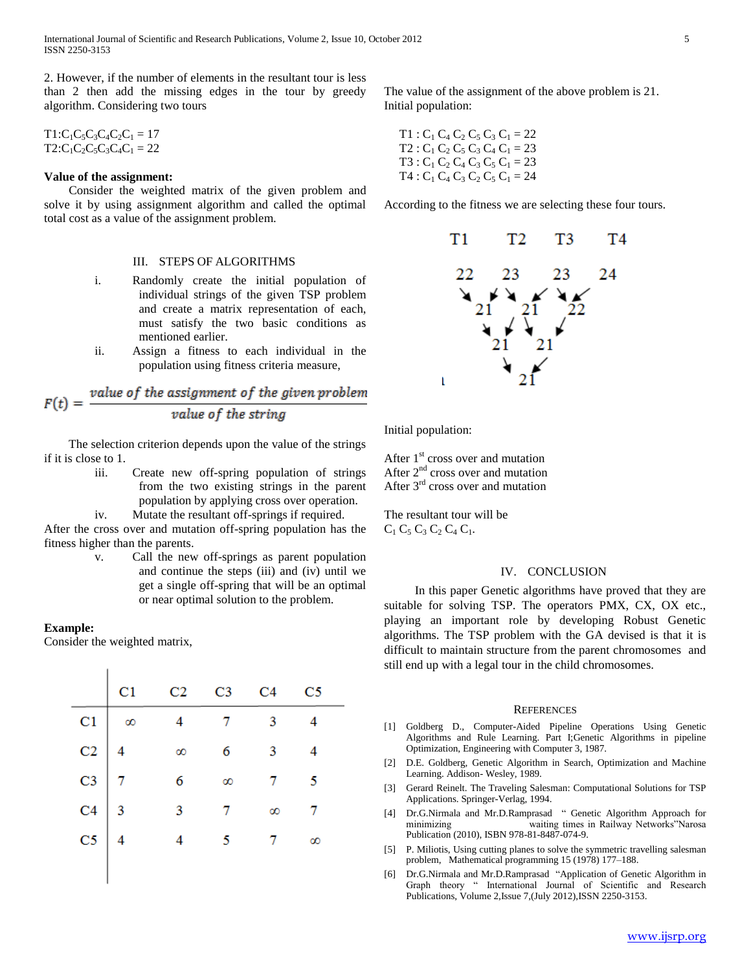2. However, if the number of elements in the resultant tour is less than 2 then add the missing edges in the tour by greedy algorithm. Considering two tours

 $T1:C_1C_5C_3C_4C_2C_1 = 17$  $T2:C_1C_2C_5C_3C_4C_1 = 22$ 

#### **Value of the assignment:**

Consider the weighted matrix of the given problem and solve it by using assignment algorithm and called the optimal total cost as a value of the assignment problem.

### III. STEPS OF ALGORITHMS

- i. Randomly create the initial population of individual strings of the given TSP problem and create a matrix representation of each, must satisfy the two basic conditions as mentioned earlier.
- ii. Assign a fitness to each individual in the population using fitness criteria measure,

$$
F(t) = \frac{value\ of\ the\ assignment\ of\ the\ given\ problem}{value\ of\ the\ string}
$$

The selection criterion depends upon the value of the strings if it is close to 1.

> iii. Create new off-spring population of strings from the two existing strings in the parent population by applying cross over operation.

iv. Mutate the resultant off-springs if required.

After the cross over and mutation off-spring population has the fitness higher than the parents.

> v. Call the new off-springs as parent population and continue the steps (iii) and (iv) until we get a single off-spring that will be an optimal or near optimal solution to the problem.

#### **Example:**

Consider the weighted matrix,

 $\mathbf{I}$ 

|                                                                                                |                |                 |                         | C <sub>5</sub>           |
|------------------------------------------------------------------------------------------------|----------------|-----------------|-------------------------|--------------------------|
| $\begin{array}{c c}\n\hline\nC1 & \infty \\ C2 & 4 \\ C3 & 7 \\ C4 & 3 \\ C5 & 4\n\end{array}$ | $\overline{4}$ |                 | $\overline{\mathbf{3}}$ |                          |
|                                                                                                | $\infty$       | $6\overline{6}$ | $\overline{3}$          |                          |
|                                                                                                | 6              | $\infty$        |                         | $\overline{\phantom{0}}$ |
|                                                                                                | 3              |                 | œ                       |                          |
|                                                                                                |                |                 |                         | $\infty$                 |
|                                                                                                |                |                 |                         |                          |

The value of the assignment of the above problem is 21. Initial population:

 T1 : C<sup>1</sup> C<sup>4</sup> C<sup>2</sup> C<sup>5</sup> C<sup>3</sup> C<sup>1</sup> = 22 T2 : C<sup>1</sup> C<sup>2</sup> C<sup>5</sup> C<sup>3</sup> C<sup>4</sup> C<sup>1</sup> = 23 T3 : C<sup>1</sup> C<sup>2</sup> C<sup>4</sup> C<sup>3</sup> C<sup>5</sup> C<sup>1</sup> = 23 T4 : C<sup>1</sup> C<sup>4</sup> C<sup>3</sup> C<sup>2</sup> C<sup>5</sup> C<sup>1</sup> = 24

According to the fitness we are selecting these four tours.



Initial population:

After  $1<sup>st</sup>$  cross over and mutation After  $2<sup>nd</sup>$  cross over and mutation After  $3<sup>rd</sup>$  cross over and mutation

The resultant tour will be  $C_1 C_5 C_3 C_2 C_4 C_1$ .

#### IV. CONCLUSION

 In this paper Genetic algorithms have proved that they are suitable for solving TSP. The operators PMX, CX, OX etc., playing an important role by developing Robust Genetic algorithms. The TSP problem with the GA devised is that it is difficult to maintain structure from the parent chromosomes and still end up with a legal tour in the child chromosomes.

#### **REFERENCES**

- [1] Goldberg D., Computer-Aided Pipeline Operations Using Genetic Algorithms and Rule Learning. Part I;Genetic Algorithms in pipeline Optimization, Engineering with Computer 3, 1987.
- [2] D.E. Goldberg, Genetic Algorithm in Search, Optimization and Machine Learning. Addison- Wesley, 1989.
- [3] Gerard Reinelt. The Traveling Salesman: Computational Solutions for TSP Applications. Springer-Verlag, 1994.
- [4] Dr.G.Nirmala and Mr.D.Ramprasad " Genetic Algorithm Approach for minimizing waiting times in Railway Networks"Narosa Publication (2010), ISBN 978-81-8487-074-9.
- [5] P. Miliotis, Using cutting planes to solve the symmetric travelling salesman problem, Mathematical programming 15 (1978) 177–188.
- [6] Dr.G.Nirmala and Mr.D.Ramprasad "Application of Genetic Algorithm in Graph theory " International Journal of Scientific and Research Publications, Volume 2,Issue 7,(July 2012),ISSN 2250-3153.